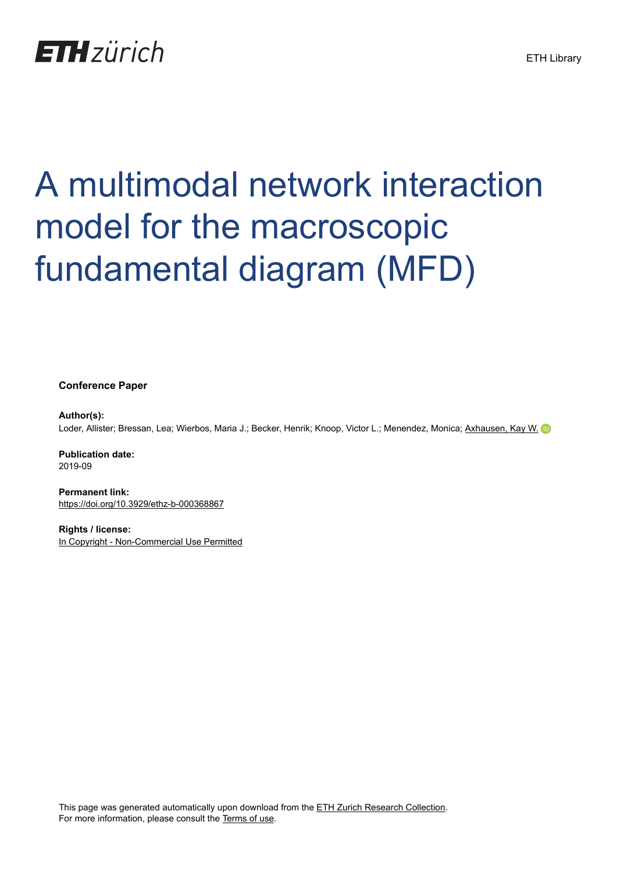## **ETH**zürich

# A multimodal network interaction model for the macroscopic fundamental diagram (MFD)

**Conference Paper**

**Author(s):**

Loder, Allister; Bressan, Lea; Wierbos, Maria J.; Becker, Henrik; Knoop, Victor L.; Menendez, Monica; [Axhausen, Kay W.](https://orcid.org/0000-0003-3331-1318) D

**Publication date:** 2019-09

**Permanent link:** <https://doi.org/10.3929/ethz-b-000368867>

**Rights / license:** [In Copyright - Non-Commercial Use Permitted](http://rightsstatements.org/page/InC-NC/1.0/)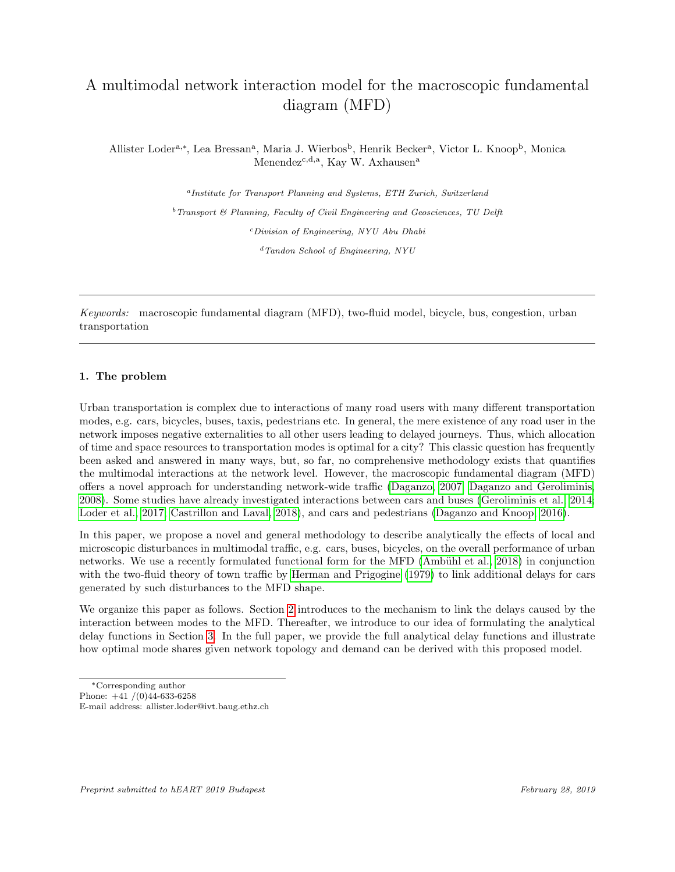### A multimodal network interaction model for the macroscopic fundamental diagram (MFD)

Allister Loder<sup>a,∗</sup>, Lea Bressan<sup>a</sup>, Maria J. Wierbos<sup>b</sup>, Henrik Becker<sup>a</sup>, Victor L. Knoop<sup>b</sup>, Monica Menendez<sup>c,d,a</sup>, Kay W. Axhausen<sup>a</sup>

a Institute for Transport Planning and Systems, ETH Zurich, Switzerland

 $b$  Transport  $b$  Planning, Faculty of Civil Engineering and Geosciences, TU Delft  $c$ Division of Engineering, NYU Abu Dhabi  $d$ Tandon School of Engineering, NYU

Keywords: macroscopic fundamental diagram (MFD), two-fluid model, bicycle, bus, congestion, urban transportation

#### 1. The problem

Urban transportation is complex due to interactions of many road users with many different transportation modes, e.g. cars, bicycles, buses, taxis, pedestrians etc. In general, the mere existence of any road user in the network imposes negative externalities to all other users leading to delayed journeys. Thus, which allocation of time and space resources to transportation modes is optimal for a city? This classic question has frequently been asked and answered in many ways, but, so far, no comprehensive methodology exists that quantifies the multimodal interactions at the network level. However, the macroscopic fundamental diagram (MFD) offers a novel approach for understanding network-wide traffic [\(Daganzo, 2007;](#page-6-0) [Daganzo and Geroliminis,](#page-6-1) [2008\)](#page-6-1). Some studies have already investigated interactions between cars and buses [\(Geroliminis et al., 2014;](#page-6-2) [Loder et al., 2017;](#page-7-0) [Castrillon and Laval, 2018\)](#page-6-3), and cars and pedestrians [\(Daganzo and Knoop, 2016\)](#page-6-4).

In this paper, we propose a novel and general methodology to describe analytically the effects of local and microscopic disturbances in multimodal traffic, e.g. cars, buses, bicycles, on the overall performance of urban networks. We use a recently formulated functional form for the MFD (Ambühl et al., 2018) in conjunction with the two-fluid theory of town traffic by [Herman and Prigogine \(1979\)](#page-6-6) to link additional delays for cars generated by such disturbances to the MFD shape.

We organize this paper as follows. Section [2](#page-2-0) introduces to the mechanism to link the delays caused by the interaction between modes to the MFD. Thereafter, we introduce to our idea of formulating the analytical delay functions in Section [3.](#page-5-0) In the full paper, we provide the full analytical delay functions and illustrate how optimal mode shares given network topology and demand can be derived with this proposed model.

<sup>∗</sup>Corresponding author

Phone:  $+41$  /(0) $44-633-6258$ E-mail address: allister.loder@ivt.baug.ethz.ch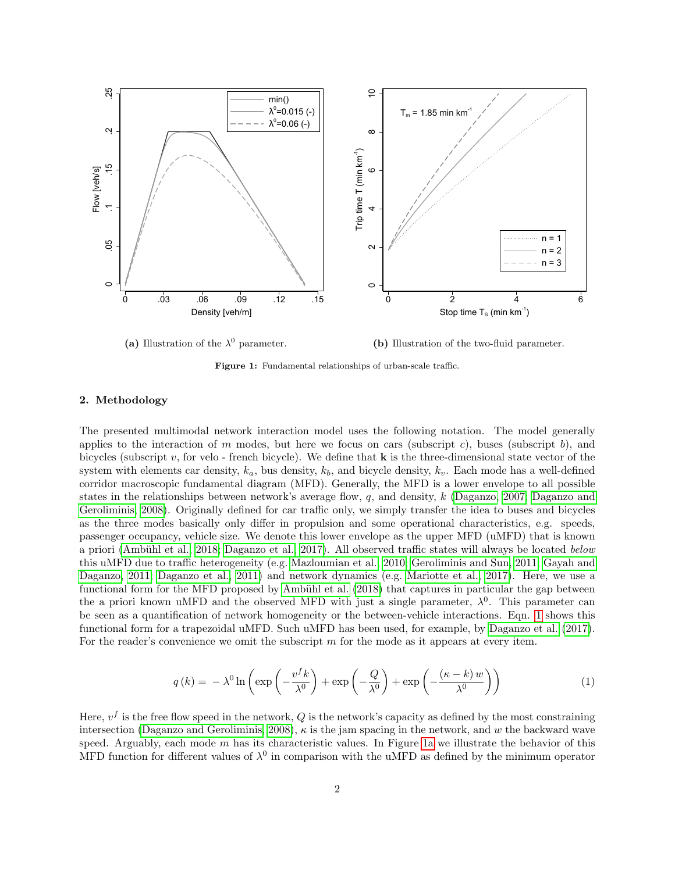<span id="page-2-2"></span>

(a) Illustration of the  $\lambda^0$  parameter. (b) Illustration of the two-fluid parameter.

Figure 1: Fundamental relationships of urban-scale traffic.

#### <span id="page-2-0"></span>2. Methodology

The presented multimodal network interaction model uses the following notation. The model generally applies to the interaction of m modes, but here we focus on cars (subscript c), buses (subscript b), and bicycles (subscript v, for velo - french bicycle). We define that  $\bf{k}$  is the three-dimensional state vector of the system with elements car density,  $k_a$ , bus density,  $k_b$ , and bicycle density,  $k_v$ . Each mode has a well-defined corridor macroscopic fundamental diagram (MFD). Generally, the MFD is a lower envelope to all possible states in the relationships between network's average flow,  $q$ , and density, k [\(Daganzo, 2007;](#page-6-0) [Daganzo and](#page-6-1) [Geroliminis, 2008\)](#page-6-1). Originally defined for car traffic only, we simply transfer the idea to buses and bicycles as the three modes basically only differ in propulsion and some operational characteristics, e.g. speeds, passenger occupancy, vehicle size. We denote this lower envelope as the upper MFD (uMFD) that is known a priori (Ambühl et al., 2018; [Daganzo et al., 2017\)](#page-6-7). All observed traffic states will always be located below this uMFD due to traffic heterogeneity (e.g. [Mazloumian et al., 2010;](#page-7-1) [Geroliminis and Sun, 2011;](#page-6-8) [Gayah and](#page-6-9) [Daganzo, 2011;](#page-6-9) [Daganzo et al., 2011\)](#page-6-10) and network dynamics (e.g. [Mariotte et al., 2017\)](#page-7-2). Here, we use a functional form for the MFD proposed by Ambühl et al. (2018) that captures in particular the gap between the a priori known uMFD and the observed MFD with just a single parameter,  $\lambda^0$ . This parameter can be seen as a quantification of network homogeneity or the between-vehicle interactions. Eqn. [1](#page-2-1) shows this functional form for a trapezoidal uMFD. Such uMFD has been used, for example, by [Daganzo et al. \(2017\)](#page-6-7). For the reader's convenience we omit the subscript  $m$  for the mode as it appears at every item.

$$
q(k) = -\lambda^{0} \ln \left( \exp \left( -\frac{v^{f}k}{\lambda^{0}} \right) + \exp \left( -\frac{Q}{\lambda^{0}} \right) + \exp \left( -\frac{(\kappa - k) w}{\lambda^{0}} \right) \right)
$$
(1)

<span id="page-2-1"></span>Here,  $v^f$  is the free flow speed in the network, Q is the network's capacity as defined by the most constraining intersection [\(Daganzo and Geroliminis, 2008\)](#page-6-1),  $\kappa$  is the jam spacing in the network, and w the backward wave speed. Arguably, each mode  $m$  has its characteristic values. In Figure [1a](#page-2-2) we illustrate the behavior of this MFD function for different values of  $\lambda^0$  in comparison with the uMFD as defined by the minimum operator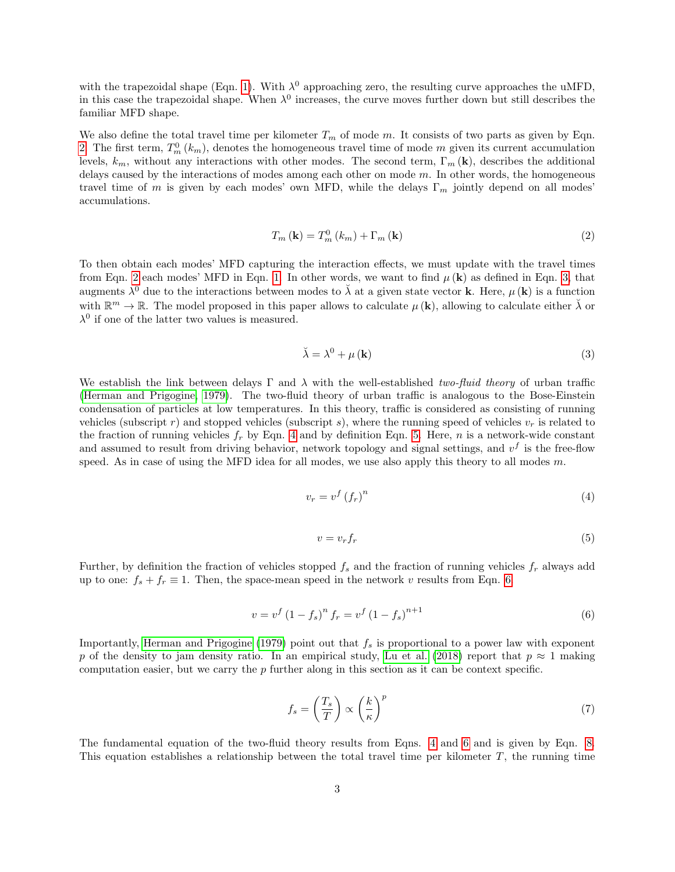with the trapezoidal shape (Eqn. [1\)](#page-2-1). With  $\lambda^0$  approaching zero, the resulting curve approaches the uMFD, in this case the trapezoidal shape. When  $\lambda^0$  increases, the curve moves further down but still describes the familiar MFD shape.

We also define the total travel time per kilometer  $T_m$  of mode m. It consists of two parts as given by Eqn. [2.](#page-3-0) The first term,  $T_m^0(k_m)$ , denotes the homogeneous travel time of mode m given its current accumulation levels,  $k_m$ , without any interactions with other modes. The second term,  $\Gamma_m(\mathbf{k})$ , describes the additional delays caused by the interactions of modes among each other on mode m. In other words, the homogeneous travel time of m is given by each modes' own MFD, while the delays  $\Gamma_m$  jointly depend on all modes' accumulations.

$$
T_m(\mathbf{k}) = T_m^0(k_m) + \Gamma_m(\mathbf{k})
$$
\n(2)

<span id="page-3-0"></span>To then obtain each modes' MFD capturing the interaction effects, we must update with the travel times from Eqn. [2](#page-3-0) each modes' MFD in Eqn. [1.](#page-2-1) In other words, we want to find  $\mu(\mathbf{k})$  as defined in Eqn. [3,](#page-3-1) that augments  $\lambda^0$  due to the interactions between modes to  $\check{\lambda}$  at a given state vector **k**. Here,  $\mu$  (**k**) is a function with  $\mathbb{R}^m \to \mathbb{R}$ . The model proposed in this paper allows to calculate  $\mu(\mathbf{k})$ , allowing to calculate either  $\check{\lambda}$  or  $\lambda^0$  if one of the latter two values is measured.

$$
\breve{\lambda} = \lambda^0 + \mu(\mathbf{k}) \tag{3}
$$

<span id="page-3-2"></span><span id="page-3-1"></span>We establish the link between delays  $\Gamma$  and  $\lambda$  with the well-established two-fluid theory of urban traffic [\(Herman and Prigogine, 1979\)](#page-6-6). The two-fluid theory of urban traffic is analogous to the Bose-Einstein condensation of particles at low temperatures. In this theory, traffic is considered as consisting of running vehicles (subscript r) and stopped vehicles (subscript s), where the running speed of vehicles  $v_r$  is related to the fraction of running vehicles  $f_r$  by Eqn. [4](#page-3-2) and by definition Eqn. [5.](#page-3-3) Here, n is a network-wide constant and assumed to result from driving behavior, network topology and signal settings, and  $v<sup>f</sup>$  is the free-flow speed. As in case of using the MFD idea for all modes, we use also apply this theory to all modes  $m$ .

$$
v_r = v^f \left(f_r\right)^n \tag{4}
$$

$$
v = v_r f_r \tag{5}
$$

<span id="page-3-4"></span><span id="page-3-3"></span>Further, by definition the fraction of vehicles stopped  $f_s$  and the fraction of running vehicles  $f_r$  always add up to one:  $f_s + f_r \equiv 1$ . Then, the space-mean speed in the network v results from Eqn. [6.](#page-3-4)

$$
v = v^f (1 - f_s)^n f_r = v^f (1 - f_s)^{n+1}
$$
\n(6)

<span id="page-3-5"></span>Importantly, [Herman and Prigogine \(1979\)](#page-6-6) point out that  $f_s$  is proportional to a power law with exponent p of the density to jam density ratio. In an empirical study, [Lu et al. \(2018\)](#page-7-3) report that  $p \approx 1$  making computation easier, but we carry the  $p$  further along in this section as it can be context specific.

$$
f_s = \left(\frac{T_s}{T}\right) \propto \left(\frac{k}{\kappa}\right)^p \tag{7}
$$

The fundamental equation of the two-fluid theory results from Eqns. [4](#page-3-2) and [6](#page-3-4) and is given by Eqn. [8.](#page-4-0) This equation establishes a relationship between the total travel time per kilometer  $T$ , the running time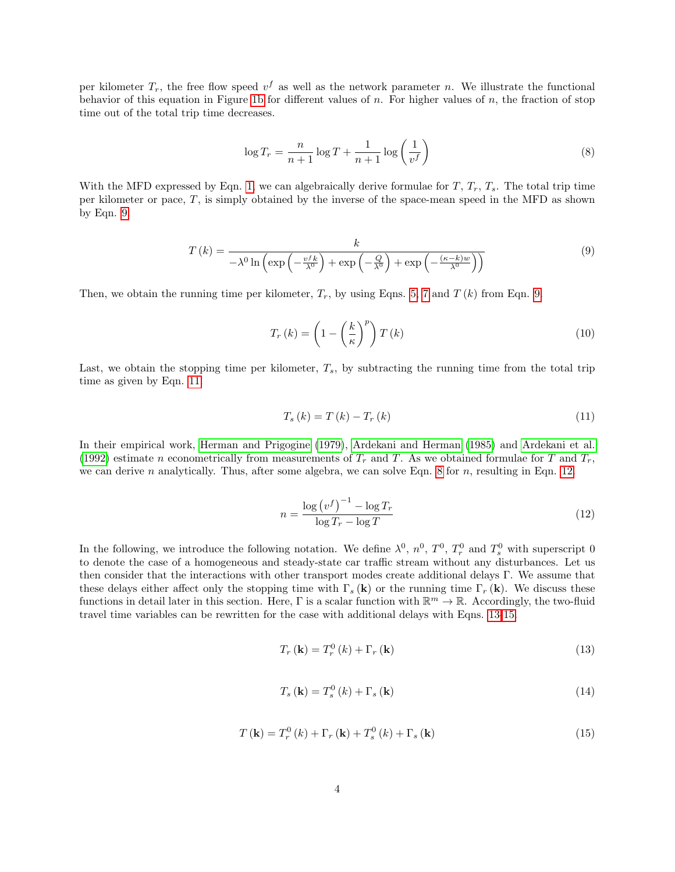<span id="page-4-0"></span>per kilometer  $T_r$ , the free flow speed  $v^f$  as well as the network parameter n. We illustrate the functional behavior of this equation in Figure [1b](#page-2-2) for different values of n. For higher values of n, the fraction of stop time out of the total trip time decreases.

$$
\log T_r = \frac{n}{n+1} \log T + \frac{1}{n+1} \log \left(\frac{1}{v^f}\right) \tag{8}
$$

<span id="page-4-1"></span>With the MFD expressed by Eqn. [1,](#page-2-1) we can algebraically derive formulae for  $T, T_r, T_s$ . The total trip time per kilometer or pace,  $T$ , is simply obtained by the inverse of the space-mean speed in the MFD as shown by Eqn. [9.](#page-4-1)

$$
T(k) = \frac{k}{-\lambda^0 \ln\left(\exp\left(-\frac{v^f k}{\lambda^0}\right) + \exp\left(-\frac{Q}{\lambda^0}\right) + \exp\left(-\frac{(\kappa - k)w}{\lambda^0}\right)\right)}
$$
(9)

Then, we obtain the running time per kilometer,  $T_r$ , by using Eqns. [5,](#page-3-3) [7](#page-3-5) and  $T(k)$  from Eqn. [9.](#page-4-1)

$$
T_r(k) = \left(1 - \left(\frac{k}{\kappa}\right)^p\right)T(k)
$$
\n(10)

<span id="page-4-2"></span>Last, we obtain the stopping time per kilometer,  $T_s$ , by subtracting the running time from the total trip time as given by Eqn. [11.](#page-4-2)

$$
T_s(k) = T(k) - T_r(k)
$$
\n
$$
(11)
$$

<span id="page-4-3"></span>In their empirical work, [Herman and Prigogine \(1979\)](#page-6-6), [Ardekani and Herman \(1985\)](#page-6-11) and [Ardekani et al.](#page-6-12) [\(1992\)](#page-6-12) estimate n econometrically from measurements of  $T_r$  and T. As we obtained formulae for T and  $T_r$ , we can derive n analytically. Thus, after some algebra, we can solve Eqn. [8](#page-4-0) for  $n$ , resulting in Eqn. [12.](#page-4-3)

$$
n = \frac{\log (v^f)^{-1} - \log T_r}{\log T_r - \log T} \tag{12}
$$

<span id="page-4-4"></span>In the following, we introduce the following notation. We define  $\lambda^0$ ,  $n^0$ ,  $T^0$ ,  $T_r^0$  and  $T_s^0$  with superscript 0 to denote the case of a homogeneous and steady-state car traffic stream without any disturbances. Let us then consider that the interactions with other transport modes create additional delays Γ. We assume that these delays either affect only the stopping time with  $\Gamma_s(\mathbf{k})$  or the running time  $\Gamma_r(\mathbf{k})$ . We discuss these functions in detail later in this section. Here,  $\Gamma$  is a scalar function with  $\mathbb{R}^m \to \mathbb{R}$ . Accordingly, the two-fluid travel time variables can be rewritten for the case with additional delays with Eqns. [13-](#page-4-4)[15.](#page-4-5)

$$
T_r(\mathbf{k}) = T_r^0(k) + \Gamma_r(\mathbf{k})
$$
\n(13)

$$
T_s(\mathbf{k}) = T_s^0(k) + \Gamma_s(\mathbf{k})
$$
\n(14)

<span id="page-4-5"></span>
$$
T(\mathbf{k}) = T_r^0(k) + \Gamma_r(\mathbf{k}) + T_s^0(k) + \Gamma_s(\mathbf{k})
$$
\n(15)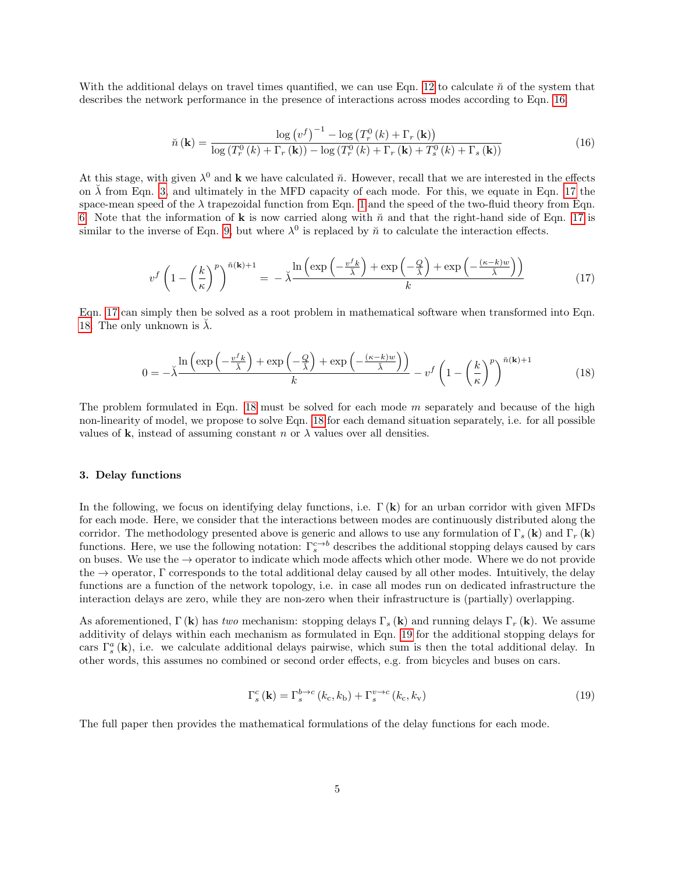<span id="page-5-1"></span>With the additional delays on travel times quantified, we can use Eqn. [12](#page-4-3) to calculate  $\check{n}$  of the system that describes the network performance in the presence of interactions across modes according to Eqn. [16.](#page-5-1)

$$
\breve{n}(\mathbf{k}) = \frac{\log (v^f)^{-1} - \log (T_r^0(k) + \Gamma_r(\mathbf{k}))}{\log (T_r^0(k) + \Gamma_r(\mathbf{k})) - \log (T_r^0(k) + \Gamma_r(\mathbf{k}) + T_s^0(k) + \Gamma_s(\mathbf{k}))}
$$
(16)

<span id="page-5-2"></span>At this stage, with given  $\lambda^0$  and **k** we have calculated  $\tilde{n}$ . However, recall that we are interested in the effects on  $\lambda$  from Eqn. [3,](#page-3-1) and ultimately in the MFD capacity of each mode. For this, we equate in Eqn. [17](#page-5-2) the space-mean speed of the  $\lambda$  trapezoidal function from Eqn. [1](#page-2-1) and the speed of the two-fluid theory from Eqn. [6.](#page-3-4) Note that the information of **k** is now carried along with  $\check{n}$  and that the right-hand side of Eqn. [17](#page-5-2) is similar to the inverse of Eqn. [9,](#page-4-1) but where  $\lambda^0$  is replaced by  $\check{n}$  to calculate the interaction effects.

$$
v^f \left(1 - \left(\frac{k}{\kappa}\right)^p\right)^{\breve{n}(\mathbf{k})+1} = -\breve{\lambda} \frac{\ln\left(\exp\left(-\frac{v^f k}{\breve{\lambda}}\right) + \exp\left(-\frac{Q}{\breve{\lambda}}\right) + \exp\left(-\frac{(\kappa - k)w}{\breve{\lambda}}\right)\right)}{k} \tag{17}
$$

<span id="page-5-3"></span>Eqn. [17](#page-5-2) can simply then be solved as a root problem in mathematical software when transformed into Eqn. [18.](#page-5-3) The only unknown is  $\lambda$ .

$$
0 = -\ddot{\lambda} \frac{\ln\left(\exp\left(-\frac{v^f k}{\ddot{\lambda}}\right) + \exp\left(-\frac{Q}{\ddot{\lambda}}\right) + \exp\left(-\frac{(\kappa - k)w}{\ddot{\lambda}}\right)\right)}{k} - v^f \left(1 - \left(\frac{k}{\kappa}\right)^p\right)^{\breve{n}(\mathbf{k})+1} \tag{18}
$$

The problem formulated in Eqn. [18](#page-5-3) must be solved for each mode  $m$  separately and because of the high non-linearity of model, we propose to solve Eqn. [18](#page-5-3) for each demand situation separately, i.e. for all possible values of k, instead of assuming constant n or  $\lambda$  values over all densities.

#### <span id="page-5-0"></span>3. Delay functions

In the following, we focus on identifying delay functions, i.e.  $\Gamma(k)$  for an urban corridor with given MFDs for each mode. Here, we consider that the interactions between modes are continuously distributed along the corridor. The methodology presented above is generic and allows to use any formulation of Γ<sub>s</sub> (k) and Γ<sub>r</sub> (k) functions. Here, we use the following notation:  $\Gamma_s^{c\to b}$  describes the additional stopping delays caused by cars on buses. We use the  $\rightarrow$  operator to indicate which mode affects which other mode. Where we do not provide the  $\rightarrow$  operator,  $\Gamma$  corresponds to the total additional delay caused by all other modes. Intuitively, the delay functions are a function of the network topology, i.e. in case all modes run on dedicated infrastructure the interaction delays are zero, while they are non-zero when their infrastructure is (partially) overlapping.

<span id="page-5-4"></span>As aforementioned,  $\Gamma(\mathbf{k})$  has two mechanism: stopping delays  $\Gamma_s(\mathbf{k})$  and running delays  $\Gamma_r(\mathbf{k})$ . We assume additivity of delays within each mechanism as formulated in Eqn. [19](#page-5-4) for the additional stopping delays for cars  $\Gamma_s^a$  (k), i.e. we calculate additional delays pairwise, which sum is then the total additional delay. In other words, this assumes no combined or second order effects, e.g. from bicycles and buses on cars.

$$
\Gamma_s^c(\mathbf{k}) = \Gamma_s^{b \to c}(k_c, k_b) + \Gamma_s^{v \to c}(k_c, k_v)
$$
\n(19)

The full paper then provides the mathematical formulations of the delay functions for each mode.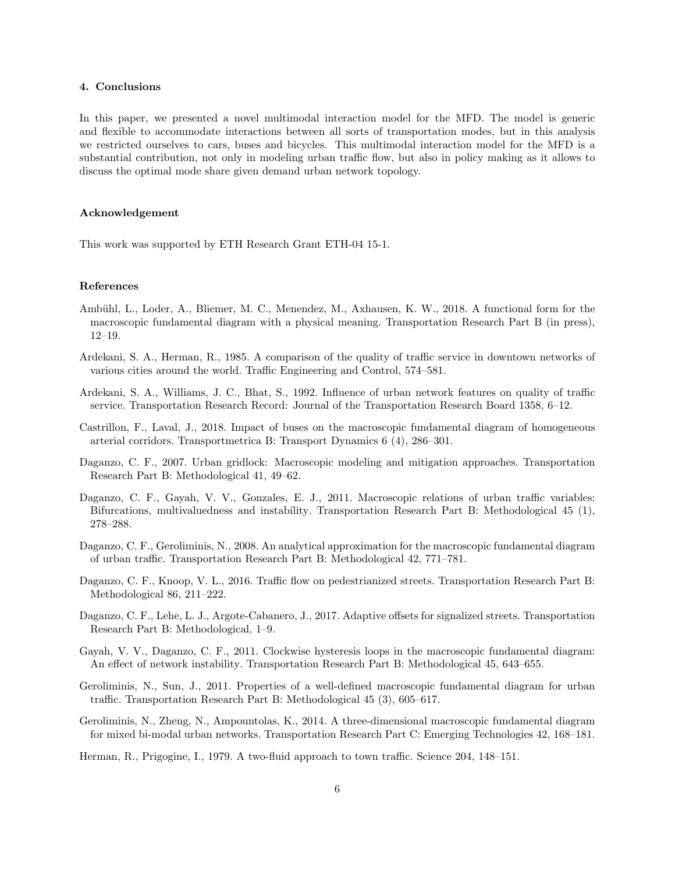#### 4. Conclusions

In this paper, we presented a novel multimodal interaction model for the MFD. The model is generic and flexible to accommodate interactions between all sorts of transportation modes, but in this analysis we restricted ourselves to cars, buses and bicycles. This multimodal interaction model for the MFD is a substantial contribution, not only in modeling urban traffic flow, but also in policy making as it allows to discuss the optimal mode share given demand urban network topology.

#### Acknowledgement

This work was supported by ETH Research Grant ETH-04 15-1.

#### References

- <span id="page-6-5"></span>Ambühl, L., Loder, A., Bliemer, M. C., Menendez, M., Axhausen, K. W., 2018. A functional form for the macroscopic fundamental diagram with a physical meaning. Transportation Research Part B (in press), 12–19.
- <span id="page-6-11"></span>Ardekani, S. A., Herman, R., 1985. A comparison of the quality of traffic service in downtown networks of various cities around the world. Traffic Engineering and Control, 574–581.
- <span id="page-6-12"></span>Ardekani, S. A., Williams, J. C., Bhat, S., 1992. Influence of urban network features on quality of traffic service. Transportation Research Record: Journal of the Transportation Research Board 1358, 6–12.
- <span id="page-6-3"></span>Castrillon, F., Laval, J., 2018. Impact of buses on the macroscopic fundamental diagram of homogeneous arterial corridors. Transportmetrica B: Transport Dynamics 6 (4), 286–301.
- <span id="page-6-0"></span>Daganzo, C. F., 2007. Urban gridlock: Macroscopic modeling and mitigation approaches. Transportation Research Part B: Methodological 41, 49–62.
- <span id="page-6-10"></span>Daganzo, C. F., Gayah, V. V., Gonzales, E. J., 2011. Macroscopic relations of urban traffic variables: Bifurcations, multivaluedness and instability. Transportation Research Part B: Methodological 45 (1), 278–288.
- <span id="page-6-1"></span>Daganzo, C. F., Geroliminis, N., 2008. An analytical approximation for the macroscopic fundamental diagram of urban traffic. Transportation Research Part B: Methodological 42, 771–781.
- <span id="page-6-4"></span>Daganzo, C. F., Knoop, V. L., 2016. Traffic flow on pedestrianized streets. Transportation Research Part B: Methodological 86, 211–222.
- <span id="page-6-7"></span>Daganzo, C. F., Lehe, L. J., Argote-Cabanero, J., 2017. Adaptive offsets for signalized streets. Transportation Research Part B: Methodological, 1–9.
- <span id="page-6-9"></span>Gayah, V. V., Daganzo, C. F., 2011. Clockwise hysteresis loops in the macroscopic fundamental diagram: An effect of network instability. Transportation Research Part B: Methodological 45, 643–655.
- <span id="page-6-8"></span>Geroliminis, N., Sun, J., 2011. Properties of a well-defined macroscopic fundamental diagram for urban traffic. Transportation Research Part B: Methodological 45 (3), 605–617.
- <span id="page-6-2"></span>Geroliminis, N., Zheng, N., Ampountolas, K., 2014. A three-dimensional macroscopic fundamental diagram for mixed bi-modal urban networks. Transportation Research Part C: Emerging Technologies 42, 168–181.
- <span id="page-6-6"></span>Herman, R., Prigogine, I., 1979. A two-fluid approach to town traffic. Science 204, 148–151.